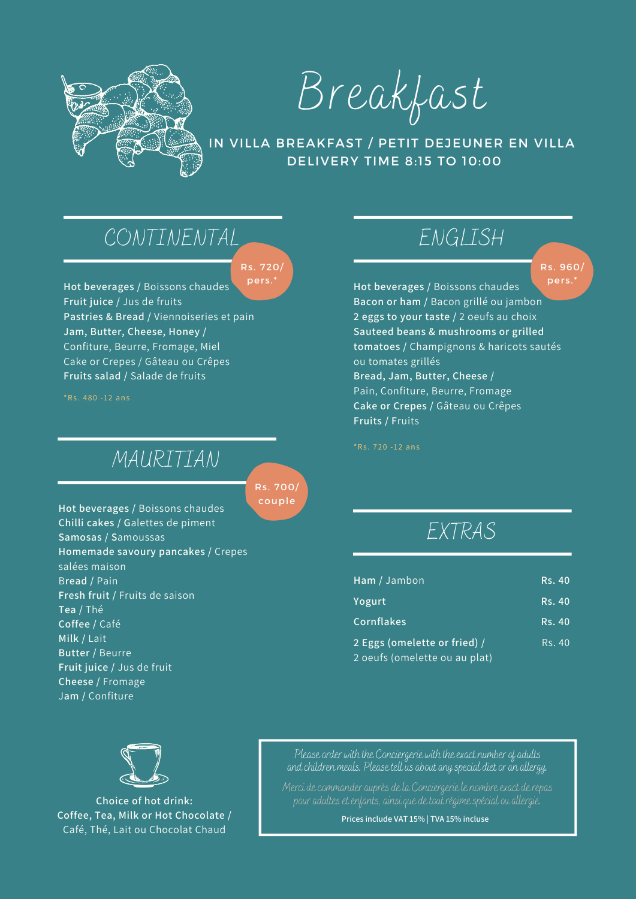

Breakfast

#### IN VILLA BREAKFAST / PETIT DEJEUNER EN VILLA DELIVERY TIME 8:15 TO 10:00

### CONTINENTAL

Rs. 720/ pers.\*

**Hot beverages /** Boissons chaudes **Fruit juice /** Jus de fruits **Pastries & Bread /** Viennoiseries et pain **Jam, Butter, Cheese, Honey /** Confiture, Beurre, Fromage, Miel Cake or Crepes / Gâteau ou Crêpes **Fruits salad /** Salade de fruits

 $*Rs. 480 - 12 ans$ 

#### MAURITIAN

Rs. 700/ couple

**Hot beverages /** Boissons chaudes **Chilli cakes / G**alettes de piment **Samosas / S**amoussas **Homemade savoury pancakes /** Crepes salées maison B**read /** Pain **Fresh fruit /** Fruits de saison **Tea /** Thé **Coffee /** Café **Milk /** Lait **Butter /** Beurre **Fruit juice /** Jus de fruit **Cheese /** Fromage J**am /** Confiture

## ENGLISH

Rs. 960/ pers.\*

**Hot beverages /** Boissons chaudes **Bacon or ham /** Bacon grillé ou jambon **2 eggs to your taste /** 2 oeufs au choix **Sauteed beans & mushrooms or grilled tomatoes /** Champignons & haricots sautés ou tomates grillés **Bread, Jam, Butter, Cheese /** Pain, Confiture, Beurre, Fromage **Cake or Crepes /** Gâteau ou Crêpes **Fruits / F**ruits

 $*Rs. 720 - 12 ans$ 

#### EXTRAS

| Ham / Jambon                  | <b>Rs. 40</b> |
|-------------------------------|---------------|
| Yogurt                        | <b>Rs. 40</b> |
| Cornflakes                    | <b>Rs. 40</b> |
| 2 Eggs (omelette or fried) /  | Rs. 40        |
| 2 oeufs (omelette ou au plat) |               |

Please order with the Conciergerie with the exact number of adults and children meals. Please tell us about any special diet or an allergy.

Merci de commander auprès de la Conciergerie le nombre exact de repas

**Prices include VAT 15% | TVA 15% incluse**



**Choice of hot drink: Coffee, Tea, Milk or Hot Chocolate /** Café, Thé, Lait ou Chocolat Chaud